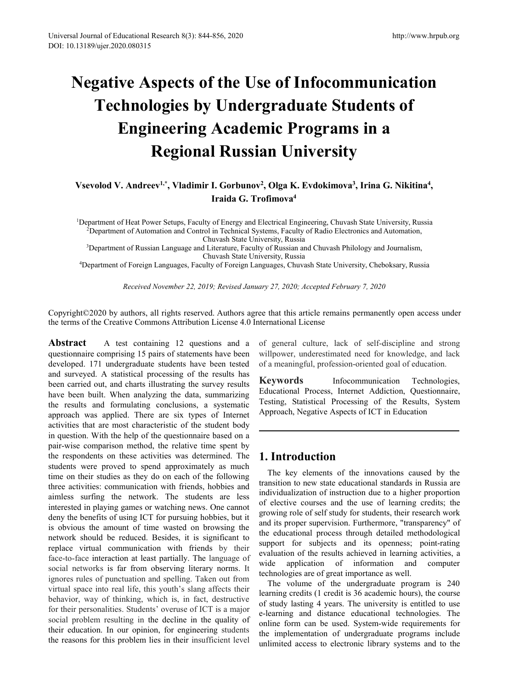# Fall Journal of Educational Research 8(3): 844-856, 2020<br> **Negative Aspects of the Use of Infocommunication**<br> **Negative Aspects of the Use of Infocommunication**<br> **Technologies by Undergraduate Students of**<br> **Engineering Ac** mal of Educational Research 8(3): 844-856, 2020<br> **Technologies by Undergraduate Students of**<br> **Technologies by Undergraduate Students of**<br> **Engineering Academic Programs in a**<br> **Regional Russian University**<br>
olod V. Andree **ENGINEERIS AND ACTE OF SALA:**<br> **ENGINEERIS ALLEN CONDITE:**<br> **Engineering Academic Programs in a**<br> **Engineering Academic Programs in a**<br> **Engineering Academic Programs in a**<br> **Engineering Academic Programs in a**<br> *Engineer* Research 8(3): 844-856, 2020<br> **Research 8(3): 844-856, 2020**<br> **Regional Russian University**<br> **Regional Russian University**<br> **Regional Russian University**<br> **Regional Russian University**<br> **Regional Russian University**<br> **Regi Vegative Aspects of the Use of Infocomm<br>
<b>Technologies by Undergraduate Student Comment Control Comment of Heat Power Setups, Faculty of Bergy and Electrical Engineering Chuvash Strategy of Energy and Electrical Engineeri e of Infocommunication<br>graduate Students of<br>nic Programs in a<br>an University<br>, Olga K. Evdokimova<sup>3</sup>, Irina G. Nikitina<sup>4</sup>,<br>pfimova<sup>4</sup><br>lectrical Engineering, Chuvash State University, Russia<br>tems. Equity of Radio Electroni nunication<br>dents of<br>s in a**<br>*r*<br>*state University, Russia*<br>prics and Automation **f the Use of Infocommunication**<br> **Undergraduate Students of**<br> **Academic Programs in a**<br> **l Russian University**<br> **I. Gorbunov<sup>2</sup>, Olga K. Evdokimova<sup>3</sup>, Irina G. Nikitina<sup>4</sup>,<br>
Iraida G. Trofimova<sup>4</sup><br>
of Energy and Electric 1Department of Heat Power Setups, Faculty of Energy and Electrical Engineering, Chuvash State University, Russia<br>
1Department of Heat Power Setups, Faculty of Energy and Electrical Engineering, Chuvash State University, R Engineering Academic Programs in a<br>
Regional Russian University<br>
evolod V. Andreev<sup>1,\*</sup>, Vladimir I. Gorbunov<sup>2</sup>, Olga K. Evdokimova<sup>3</sup>, Irina G. Nikitina<sup>4</sup>,<br>
Iraida G. Trofimova<sup>4</sup><br>
Partment of Heat Power Setups, Facult 2 Academic Programs in a**<br> **al Russian University**<br>
ir I. Gorbunov<sup>2</sup>, Olga K. Evdokimova<sup>3</sup>, Irina G. Ni<br>
Iraida G. Trofimova<sup>4</sup><br>
Ity of Energy and Electrical Engineering, Chuvash State University<br>
of Energy and Electric 3DEPARTMENT OF A CONGRESSION CONGRESSION CONGRESSION CONGRESSION CONGRESSION CONGRESSION CONGRESSION CONGRESSION CONGRESSION CONGRESSION (Particle Regineering, Chuvash State University, Russian and Chuvash Philology and Jo

**al Russian University**<br>
ir I. Gorbunov<sup>2</sup>, Olga K. Evdokimova<sup>3</sup>, Irina G. Ni<br>
Iraida G. Trofimova<sup>4</sup><br>
Ity of Energy and Electrical Engineering, Chuvash State University<br>
rol in Technical Systems, Faculty of Radio Electro **EXECTION AT KUSSIAN UNIVETSITY**<br>
Vsevolod V. Andreev<sup>1,\*</sup>, Vladimir I. Gorbunov<sup>2</sup>, Olga K. Evdokimova<sup>3</sup>, Irina G. Nikitina<sup>4</sup>,<br>
Iraida G. Trofimova<sup>4</sup><br>
Department of Heat Power Setups, Faculty of Energy and Electrical **Andreev<sup>1,\*</sup>, Vladimir I. Gorbunov<sup>2</sup>, Olga K. Evdokimova<sup>3</sup>, Irina G. Nikitina<sup>4</sup>,<br>
Iraida G. Trofimova<sup>4</sup><br>
Fleat Power Setups, Faculty of Energy and Electrical Engineering, Chuvash State University, Russia<br>
tof Automati** Examples of Network Copyright©2020 by authors, all rights reserved. Authors agree that this article remains permanently open access under the terms of the Creative Control in Technical Systems, Faculty of Russian and Chuv **Traida G. Trofimova<sup>4</sup>**<br>
<sup>1</sup>Department of Heat Power Setups, Faculty of Energy and Electrical Engineering, Chuvash State University, Russi<br>
<sup>2</sup>Department of Automation and Control in Technical Systems, Faculty of Radio El

<sup>1</sup>Department of Heat Power Setups, Faculty of Energy and Electrical Engineering, Chuvash State<br><sup>2</sup>Department of Automation and Control in Technical Systems, Faculty of Radio Electronics are<br><sup>3</sup>Department of Russian Langua <sup>2</sup>Department of Automation and Control in Technical Systems, Faculty of Radio Electronic<br>
<sup>2</sup>Department of Russian Language and Literature, Faculty of Russian and Chuvash Philolo,<br>
<sup>2</sup>Department of Foreign Languages, Fac Chuvash State University, Russia<br>
<sup>3</sup>Department of Russian Language and Literature, Faculty of Russian and Chuvash Philol<br>
Chuvash State University, Russia<br>
<sup>4</sup>Department of Foreign Languages, Faculty of Foreign Languages, The Surveyed. A statistical processing of the results of Nuvash State University, Russia<br>
4Department of Foreign Languages, Faculty of Foreign Languages, Chuvash State University,<br> *Received November 22, 2019; Revised Janu* <sup>4</sup>Department of Foreign Languages, Faculty of Foreign Languages, Chuvash State University, Russian State University, Russel State University, Revised November 22, 2019; Revised January 27, 2020; Accepted February Copyrig Received November 22, 2019; Revised January 27, 2020; Accepted F<br>Copyright©2020 by authors, all rights reserved. Authors agree that this article rem<br>the terms of the Creative Commons Attribution License 4.0 International L Received November 22, 2019; Revised January 27, 2020; Accepted Feb<br>
Copyright©2020 by authors, all rights reserved. Authors agree that this article remain<br>
the terms of the Creative Commons Attribution License 4.0 Internat copyright©2020 by authors, all rights reserved. Authors agree that this article remains the terms of the Creative Commons Attribution License 4.0 International License<br> **Abstract** A test containing 12 questions and a of ge Copyright©2020 by authors, all rights reserved. Authors agree that this article remains per<br>the terms of the Creative Commons Attribution License 4.0 International License<br>**Abstract** A test containing 12 questions and a of Copyright©2020 by authors, all rights reserved. Authors agree that this article remains permant<br>
the terms of the Creative Commons Attribution License 4.0 International License<br> **Abstract** A test containing 12 questions a the terms of the Creative Commons Attribution License 4.0 International License<br> **Abstract** A test containing 12 questions and a of general culture, lack of squestionnaire comprising 15 pairs of statements have been will<br>p **Abstract** A test containing 12 questions and a of general culture, lack of questionnaire comprising 15 pairs of statements have been will power, underestimated need developed. 171 undergraduate students have been tested o **Abstract** A test containing 12 questions and a of general culture, lack of questionnaire comprising 15 pairs of statements have been will power, underestimated ne developed. 171 undergraduate students have been tested of questionnaire comprising 15 pairs of statements have been will power, underestimated developed. 171 undergraduate students have been tested of a meaningful, profession carried out, and charts illustrating the survey result developed. 171 undergraduate students have been tested<br>
and surveyed. A statistical processing of the results has<br>
been carried out, and charts illustrating the survey results<br>
have been built. When analyzing the data, sum and surveyed. A statistical processing of the results has<br>been carried out, and charts illustrating the survey results<br>have been built. When analyzing the data, summarizing<br>the results and formulating conclusions, a system been carried out, and charts illustrating the survey results<br>have been built. When analyzing the data, summarizing<br>the results and formulating conclusions, a systematic<br>derived and Frocess<br>the results and formulating concl have been built. When analyzing the data, summarizing Equestional Process, internet Athe results and formulating conclusions, a systematic Testing, Statistical Processing capproach was applied. There are six types of Inter the results and formulating conclusions, a systematic <sup>1 esting</sup>, statistical Processing<br>approach was applied. There are six types of Internet Approach, Negative Aspects of I<br>activities that are most characteristic of the approach was applied. There are six types of Internet<br>activities that are most characteristic of the student body<br>in question. With the help of the questionnaire based on a<br>pair-wise comparison method, the relative time s activities that are most characteristic of the student body<br>
in question. With the help of the questionnaire based on a<br>
pair-wise comparison method, the relative time spend. The<br>
students were proved to spend approximatel in question. With the help of the questionnaire based on a<br>pair-wise comparison method, the relative time spent by<br>the respondents on these activities was determined. The<br>three activities: communication with friends, hobbi pair-wise comparison method, the relative time spent by<br>the respondents on these activities was determined. The<br>students were proved to spend approximately as much<br>time on their studies as they do on each of the following<br> the respondents on these activities was determined. The **1. Introduction**<br>students were proved to spend approximately as much<br>time on their studies as they do on each of the following<br>the activities: communication with fr students were proved to spend approximately as much<br>time on their studies as they do on each of the following<br>three activities: communication with friends, hobbies and<br>aimless surfing the network. The students are less<br>ind time on their studies as they do on each of the following<br>three activities: communication with friends, hobbies and<br>aimless surfains on the returns. The students are less<br>interested in playing games or watching news. One c three activities: communication with friends, hobbies and<br>
individualization of instruction<br>
interested in playing games or variching news. One cannot<br>
interested in the interestion is the dense to studie in the solution o aimless surfing the network. The students are less interval dization of instantion of interested in playing games or watching news. One cannot of elective courses and the use deny the benefits of using ICT for pursuing ho interested in playing games or watching news. One cannot<br>deny the benefits of using ICT for pursuing hobbies, but it growing role of<br>is obvious the amount of time wasted on browsing the and its proper s<br>is obvious the amo deny the benefits of using ICT for pursuing hobbies, but it gowing tore of serious in solvious the amount of time wasted on browsing the and its propre supervision. Further should be reduced. Besides, it is significant to

Electrical Engineering, Chuvash State University, Russia<br>
stems, Faculty of Radio Electronics and Automation,<br>
viersity, Russia<br>
viersity, Russia<br>
viersity, Russia<br>
meguages, Chuvash State University, Cheboksary, Russia<br>
a reflems, Faculty of Radio Electronics and Automation,<br>
iversity, Russia<br>
iversity, Russia<br>
iversity, Russia<br>
iversity, Russia<br>
inguages, Chuvash State University, Cheboksary, Russia<br>
ary 27, 2020; Accepted February 7, 2020

iversity, Russia<br>
ivy of Russian and Chuvash Philology and Journalism,<br>
iversity, Russia<br>
iversity, Russia<br>
ary 27, 2020; Accepted February 7, 2020<br>
ee that this article remains permanently open access under<br>
ternational L Intersity, Russia<br> *Keywords, Russia*<br> *Keywords, Accepted February 7, 2020*<br> **Keywords**<br> **Keywords**<br> **Keywords Keywords Keywords Keywords Keywords Keywords Keywords Keywords Keywords Keywords Keywords** nature Chinagens, Chuvash State University, Cheboksary, Russia<br>
Educational Process and Tartinum and Strongwitternational License<br>
of general culture, lack of self-discipline and strong<br>
willpower, underestimated need for ary 27, 2020; Accepted February 7, 2020<br>
ee that this article remains permanently open access under<br>
ternational License<br>
of general culture, lack of self-discipline and strong<br>
willpower, underestimated need for knowledge ary 27, 2020; Accepted February 7, 2020<br>
ee that this article remains permanently open access under<br>
ternational License<br>
of general culture, lack of self-discipline and strong<br>
willpower, underestimated need for knowledge

ary 27, 2020; *Accepted February* 7, 2020<br>
ee that this article remains permanently open access under<br>
ternational License<br>
of general culture, lack of self-discipline and strong<br>
willpower, underestimated need for knowled Experimental values, the increasing and lack<br>
a meaningful, profession-oriented goal of education.<br> **eywords** Infocommunication Technologies,<br>
lucational Process, Internet Addiction, Questionnaire,<br>
string, Statistical Pr mation to the monotoge, and the more of a meaningful, profession-oriented goal of education.<br> **Keywords** Infocommunication Technologies,<br>
Educational Process, Internet Addiction, Questionnaire,<br>
Testing, Statistical Proces **individualization** increases, Internet Addiction, Questionnaire, Testing, Statistical Processing of the Results, System Approach, Negative Aspects of ICT in Education<br>Approach, Negative Aspects of ICT in Education<br> **1.** I **Keywords** Infocommunication Technologies,<br>Educational Process, Internet Addiction, Questionnaire,<br>Testing, Statistical Processing of the Results, System<br>Approach, Negative Aspects of ICT in Education<br>In the use of learnin Educational Process, Internet Addiction, Questionnaire,<br>Testing, Statistical Processing of the Results, System<br>Approach, Negative Aspects of ICT in Education<br>In Equation<br>In Equation 1<br>The key elements of the innovations ca Testing, Statistical Processing of the Results, System<br>Approach, Negative Aspects of ICT in Education<br>
The key elements of the innovations caused by the<br>
transition to new state educational standards in Russia are<br>
individ Approach, Negative Aspects of ICT in Education<br>
The key elements of the innovations caused by the<br>
transition to new state educational standards in Russia are<br>
individualization of instruction due to a higher proportion<br>
o **1. Introduction**<br>The key elements of the innovations caused by the transition to new state educational standards in Russia are individualization of instruction due to a higher proportion of elective courses and the use o **1. Introduction**<br>The key elements of the innovations caused by the transition to new state educational standards in Russia are individualization of instruction due to a higher proportion of elective courses and the use o **1. Introduction**<br>The key elements of the innovations caused by the transition to new state educational standards in Russia are individualization of instruction due to a higher proportion of elective courses and the use o **1. Introduction**<br>The key elements of the innovations caused by the transition to new state educational standards in Russia are individualization of instruction due to a higher proportion of elective courses and the use of **The key elements of the innovations caused by the**<br>
misition to new state educational standards in Russia are<br>
dividualization of instruction due to a higher proportion<br>
elective courses and the use of learning credits; The key elements of the innovations caused by the transition to new state educational standards in Russia are individualization of instruction due to a higher proportion of elective courses and the use of learning credits; transition to new state educational standards in Russia are<br>individualization of instruction due to a higher proportion<br>of elective courses and the use of learning credits; the<br>growing role of self study for students, thei individualization of instruction due to a higher proportion<br>of elective courses and the use of learning credits; the<br>growing role of self study for students, their research work<br>and its proper supervision. Furthermore, "tr of elective courses and the use of learning credits; the growing role of self study for students, their research work and its proper supervision. Furthermore, "transparency" of the educational process through detailed meth growing role of self study for students, their research work<br>and its proper supervision. Furthermore, "transparency" of<br>the educational process through detailed methodological<br>support for subjects and its openness; point-r

and its proper supervision. Furthermore, "transparency" of the educational process through detailed methodological support for subjects and its openness; point-rating evaluation of the results achieved in learning activiti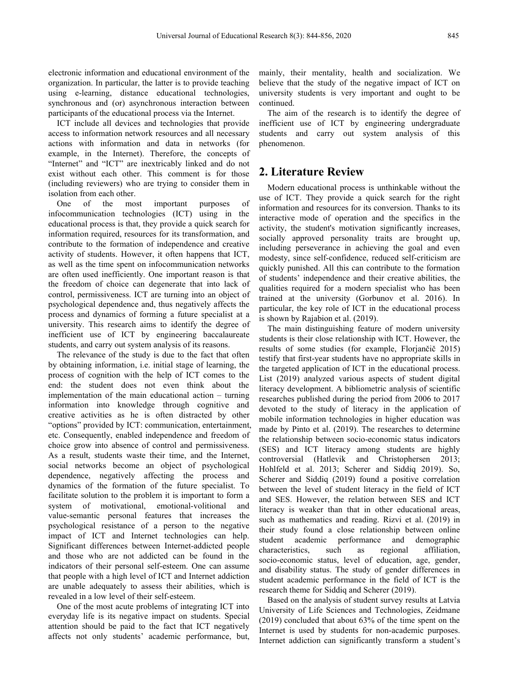electronic information and educational environment of the organization. In particular, the latter is to provide teaching using e-learning, distance educational technologies, synchronous and (or) asynchronous interaction between

participants of the educational process via the Internet.<br>ICT include all devices and technologies that provide access to information network resources and all necessary actions with information and data in networks (for example, in the Internet). Therefore, the concepts of "Internet" and "ICT" are inextricably linked and do not exist without each other. This comment is for those (including reviewers) who are trying to consider them in isolation from each other.

One of the most important purposes of infocommunication technologies (ICT) using in the educational process is that, they provide a quick search for information required, resources for its transformation, and contribute to the formation of independence and creative activity of students. However, it often happens that ICT, as well as the time spent on infocommunication networks are often used inefficiently. One important reason is that the freedom of choice can degenerate that into lack of control, permissiveness. ICT are turning into an object of psychological dependence and, thus negatively affects the process and dynamics of forming a future specialist at a university. This research aims to identify the degree of inefficient use of ICT by engineering baccalaureate students, and carry out system analysis of its reasons.

The relevance of the study is due to the fact that often by obtaining information, i.e. initial stage of learning, the process of cognition with the help of ICT comes to the end: the student does not even think about the implementation of the main educational action – turning information into knowledge through cognitive and creative activities as he is often distracted by other "options" provided by ICT: communication, entertainment, etc. Consequently, enabled independence and freedom of choice grow into absence of control and permissiveness. As a result, students waste their time, and the Internet, social networks become an object of psychological dependence, negatively affecting the process and dynamics of the formation of the future specialist. To facilitate solution to the problem it is important to form a system of motivational, emotional-volitional and value-semantic personal features that increases the psychological resistance of a person to the negative impact of ICT and Internet technologies can help. student academic Significant differences between Internet-addicted people and those who are not addicted can be found in the indicators of their personal self-esteem. One can assume that people with a high level of ICT and Internet addiction are unable adequately to assess their abilities, which is revealed in a low level of their self-esteem.

One of the most acute problems of integrating ICT into everyday life is its negative impact on students. Special attention should be paid to the fact that ICT negatively affects not only students' academic performance, but,

mainly, their mentality, health and socialization. We believe that the study of the negative impact of ICT on university students is very important and ought to be continued.

The aim of the research is to identify the degree of inefficient use of ICT by engineering undergraduate students and carry out system analysis of this phenomenon.

# **2. Literature Review**

Modern educational process is unthinkable without the use of ICT. They provide a quick search for the right information and resources for its conversion. Thanks to its interactive mode of operation and the specifics in the activity, the student's motivation significantly increases, socially approved personality traits are brought up, including perseverance in achieving the goal and even modesty, since self-confidence, reduced self-criticism are quickly punished. All this can contribute to the formation of students' independence and their creative abilities, the qualities required for a modern specialist who has been trained at the university (Gorbunov et al. 2016). In particular, the key role of ICT in the educational process is shown by Rajabion et al. (2019).

The main distinguishing feature of modern university students is their close relationship with ICT. However, the results of some studies (for example, Florjančič 2015) testify that first-year students have no appropriate skills in the targeted application of ICT in the educational process. List (2019) analyzed various aspects of student digital literacy development. A bibliometric analysis of scientific researches published during the period from 2006 to 2017 devoted to the study of literacy in the application of mobile information technologies in higher education was made by Pinto et al. (2019). The researches to determine the relationship between socio-economic status indicators (SES) and ICT literacy among students are highly controversial (Hatlevik and Christophersen 2013; Hohlfeld et al. 2013; Scherer and Siddiq 2019). So, Scherer and Siddiq (2019) found a positive correlation between the level of student literacy in the field of ICT and SES. However, the relation between SES and ICT literacy is weaker than that in other educational areas, such as mathematics and reading. Rizvi et al. (2019) in their study found aclose relationship between online performance and demographic characteristics, such as regional affiliation, socio-economic status, level of education, age, gender, and disability status. The study of gender differences in student academic performance in the field of ICT is the research theme for Siddiq and Scherer (2019).

Based on the analysis of student survey results at Latvia University of Life Sciences and Technologies, Zeidmane (2019) concluded that about 63% of the time spent on the Internet is used by students for non-academic purposes. Internet addiction can significantly transform a student's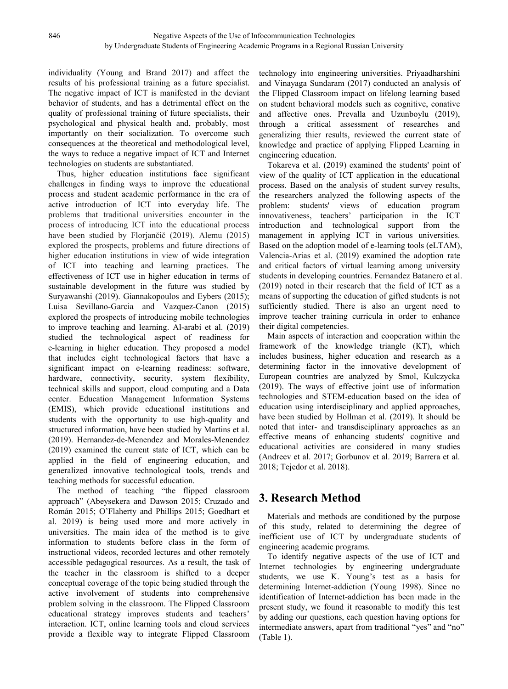individuality (Young and Brand 2017) and affect the results of his professional training as a future specialist. The negative impact of ICT is manifested in the deviant behavior of students, and has a detrimental effect on the quality of professional training of future specialists, their psychological and physical health and, probably, most importantly on their socialization. To overcome such consequences at the theoretical and methodological level, the ways to reduce a negative impact of ICT and Internet technologies on students are substantiated.

Thus, higher education institutions face significant challenges in finding ways to improve the educational process and student academic performance in the era of active introduction of ICT into everyday life. The problem: students' problems that traditional universities encounter in the process of introducing ICT into the educational process have been studied by Florjančič (2019). Alemu (2015) explored the prospects, problems and future directions of higher education institutions in view of wide integration of ICT into teaching and learning practices. The effectiveness of ICT use in higher education in terms of sustainable development in the future was studied by Suryawanshi (2019). Giannakopoulos and Eybers (2015); Luisa Sevillano-Garcia and Vazquez-Canon (2015) explored the prospects of introducing mobile technologies to improve teaching and learning. Al-arabi et al. (2019) studied the technological aspect of readiness for e-learning in higher education. They proposed a model that includes eight technological factors that have a significant impact on e-learning readiness: software, hardware, connectivity, security, system flexibility, technical skills and support, cloud computing and a Data center. Education Management Information Systems (EMIS), which provide educational institutions and students with the opportunity to use high-quality and structured information, have been studied by Martins et al. (2019). Hernandez-de-Menendez and Morales-Menendez (2019) examined the current state of ICT, which can be applied in the field of engineering education, and generalized innovative technological tools, trends and teaching methods for successful education.

The method of teaching "the flipped classroom approach" (Abeysekera and Dawson 2015; Cruzado and Román 2015; O'Flaherty and Phillips 2015; Goedhart et al. 2019) is being used more and more actively in universities. The main idea of the method is to give information to students before class in the form of instructional videos, recorded lectures and other remotely accessible pedagogical resources. As a result, the task of the teacher in the classroom is shifted to a deeper conceptual coverage of the topic being studied through the active involvement of students into comprehensive problem solving in the classroom. The Flipped Classroom educational strategy improves students and teachers' interaction. ICT, online learning tools and cloud services provide a flexible way to integrate Flipped Classroom

technology into engineering universities. Priyaadharshini and Vinayaga Sundaram (2017) conducted an analysis of the Flipped Classroom impact on lifelong learning based on student behavioral models such as cognitive, conative and affective ones. Prevalla and Uzunboylu (2019), through a critical assessment of researches and generalizing thier results, reviewed the current state of knowledge and practice of applying Flipped Learning in engineering education.

Tokareva et al. (2019) examined the students' point of view of the quality of ICT application in the educational process. Based on the analysis of student survey results, the researchers analyzed the following aspects of the views of education program innovativeness, teachers' participation in the ICT introduction and technological support from the management in applying ICT in various universities. Based on the adoption model of e-learning tools (eLTAM), Valencia-Arias et al. (2019) examined the adoption rate and critical factors of virtual learning among university students in developing countries. Fernandez Batanero et al. (2019) noted in their research that the field of ICT as a means of supporting the education of gifted students is not sufficiently studied. There is also an urgent need to improve teacher training curricula in order to enhance their digital competencies.

Main aspects of interaction and cooperation within the framework of the knowledge triangle (KT), which includes business, higher education and research as a determining factor in the innovative development of European countries are analyzed by Smol, Kulczycka (2019). The ways of effective joint use of information technologies and STEM-education based on the idea of education using interdisciplinary and applied approaches, have been studied by Hollman et al. (2019). It should be noted that inter- and transdisciplinary approaches as an effective means of enhancing students' cognitive and educational activities are considered in many studies (Andreev et al. 2017; Gorbunov et al. 2019; Barrera et al. 2018; Tejedor et al. 2018).

# **3. Research Method**

Materials and methods are conditioned by the purpose of this study, related to determining the degree of inefficient use of ICT by undergraduate students of engineering academic programs.

To identify negative aspects of the use of ICT and Internet technologies by engineering undergraduate students, we use K. Young's test as a basis for determining Internet-addiction (Young 1998). Since no identification of Internet-addiction has been made in the present study, we found it reasonable to modify this test by adding our questions, each question having options for intermediate answers, apart from traditional "yes" and "no" (Table 1).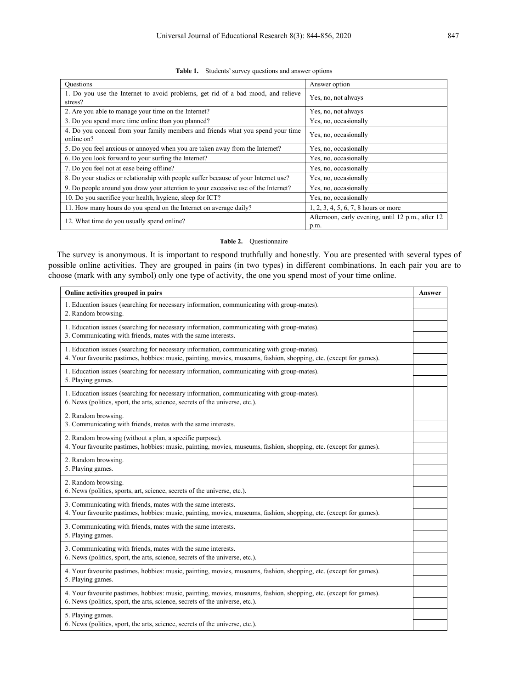|  |  | <b>Table 1.</b> Students' survey questions and answer options |  |
|--|--|---------------------------------------------------------------|--|
|  |  |                                                               |  |

| <b>Ouestions</b>                                                                              | Answer option                                             |
|-----------------------------------------------------------------------------------------------|-----------------------------------------------------------|
| 1. Do you use the Internet to avoid problems, get rid of a bad mood, and relieve<br>stress?   | Yes, no, not always                                       |
| 2. Are you able to manage your time on the Internet?                                          | Yes, no, not always                                       |
| 3. Do you spend more time online than you planned?                                            | Yes, no, occasionally                                     |
| 4. Do you conceal from your family members and friends what you spend your time<br>online on? | Yes, no, occasionally                                     |
| 5. Do you feel anxious or annoyed when you are taken away from the Internet?                  | Yes, no, occasionally                                     |
| 6. Do you look forward to your surfing the Internet?                                          | Yes, no, occasionally                                     |
| 7. Do you feel not at ease being offline?                                                     | Yes, no, occasionally                                     |
| 8. Do your studies or relationship with people suffer because of your Internet use?           | Yes, no, occasionally                                     |
| 9. Do people around you draw your attention to your excessive use of the Internet?            | Yes, no, occasionally                                     |
| 10. Do you sacrifice your health, hygiene, sleep for ICT?                                     | Yes, no, occasionally                                     |
| 11. How many hours do you spend on the Internet on average daily?                             | 1, 2, 3, 4, 5, 6, 7, 8 hours or more                      |
| 12. What time do you usually spend online?                                                    | Afternoon, early evening, until 12 p.m., after 12<br>p.m. |

#### **Table 2.** Questionnaire

The survey is anonymous. It is important to respond truthfully and honestly. You are presented with several types of possible online activities. They are grouped in pairs (in two types) in different combinations. In each pair you are to choose (mark with any symbol) only one type of activity, the one you spend most of your time online.

| Online activities grouped in pairs                                                                                                                                                                               | Answer |
|------------------------------------------------------------------------------------------------------------------------------------------------------------------------------------------------------------------|--------|
| 1. Education issues (searching for necessary information, communicating with group-mates).<br>2. Random browsing.                                                                                                |        |
| 1. Education issues (searching for necessary information, communicating with group-mates).<br>3. Communicating with friends, mates with the same interests.                                                      |        |
| 1. Education issues (searching for necessary information, communicating with group-mates).<br>4. Your favourite pastimes, hobbies: music, painting, movies, museums, fashion, shopping, etc. (except for games). |        |
| 1. Education issues (searching for necessary information, communicating with group-mates).<br>5. Playing games.                                                                                                  |        |
| 1. Education issues (searching for necessary information, communicating with group-mates).<br>6. News (politics, sport, the arts, science, secrets of the universe, etc.).                                       |        |
| 2. Random browsing.<br>3. Communicating with friends, mates with the same interests.                                                                                                                             |        |
| 2. Random browsing (without a plan, a specific purpose).<br>4. Your favourite pastimes, hobbies: music, painting, movies, museums, fashion, shopping, etc. (except for games).                                   |        |
| 2. Random browsing.<br>5. Playing games.                                                                                                                                                                         |        |
| 2. Random browsing.<br>6. News (politics, sports, art, science, secrets of the universe, etc.).                                                                                                                  |        |
| 3. Communicating with friends, mates with the same interests.<br>4. Your favourite pastimes, hobbies: music, painting, movies, museums, fashion, shopping, etc. (except for games).                              |        |
| 3. Communicating with friends, mates with the same interests.<br>5. Playing games.                                                                                                                               |        |
| 3. Communicating with friends, mates with the same interests.<br>6. News (politics, sport, the arts, science, secrets of the universe, etc.).                                                                    |        |
| 4. Your favourite pastimes, hobbies: music, painting, movies, museums, fashion, shopping, etc. (except for games).<br>5. Playing games.                                                                          |        |
| 4. Your favourite pastimes, hobbies: music, painting, movies, museums, fashion, shopping, etc. (except for games).<br>6. News (politics, sport, the arts, science, secrets of the universe, etc.).               |        |
| 5. Playing games.<br>6. News (politics, sport, the arts, science, secrets of the universe, etc.).                                                                                                                |        |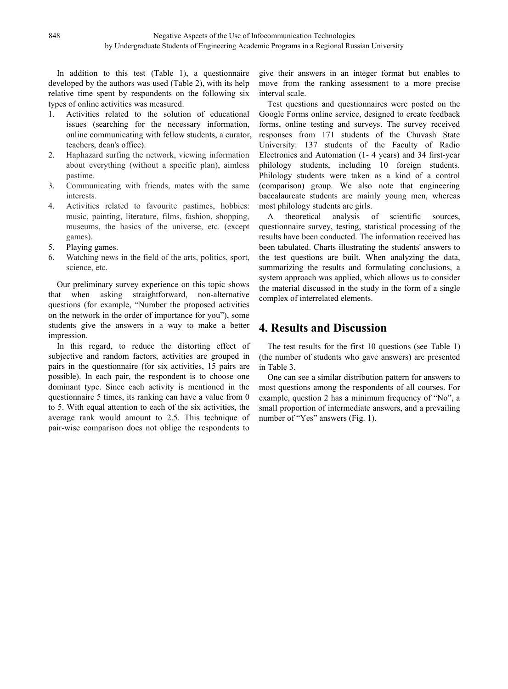In addition to this test  $(Table 1)$ , a questionnaire developed by the authors was used (Table 2), with its help relative time spent by respondents on the following six types of online activities was measured.

- 1. Activities related to the solution of educational issues (searching for the necessary information, online communicating with fellow students, a curator, teachers, dean's office).
- 2. Haphazard surfing the network, viewing information about everything (without a specific plan), aimless pastime.
- 3. Communicating with friends, mates with the same interests.
- 4. Activities related to favourite pastimes, hobbies: music, painting, literature, films, fashion, shopping, museums, the basics of the universe, etc. (except games).
- 5. Playing games.
- 6. Watching news in the field of the arts, politics, sport, science, etc.

Our preliminary survey experience on this topic shows that when asking straightforward, non-alternative questions (for example, "Number the proposed activities on the network in the order of importance for you"), some students give the answers in a way to make a better impression.

In this regard, to reduce the distorting effect of subjective and random factors, activities are grouped in pairs in the questionnaire (for six activities, 15 pairs are possible). In each pair, the respondent is to choose one dominant type. Since each activity is mentioned in the questionnaire 5 times, its ranking can have a value from 0 to 5. With equal attention to each of the six activities, the average rank would amount to 2.5. This technique of pair-wise comparison does not oblige the respondents to

give their answers in an integer format but enables to move from the ranking assessment to a more precise interval scale.

Test questions and questionnaires were posted on the Google Forms online service, designed to create feedback forms, online testing and surveys. The survey received responses from 171 students of the Chuvash State University: 137 students of the Faculty of Radio Electronics and Automation (1- 4 years) and 34 first-year philology students, including 10 foreign students. Philology students were taken as a kind of a control (comparison) group. We also note that engineering baccalaureate students are mainly young men, whereas most philology students are girls.

A theoretical analysis of scientific sources, questionnaire survey, testing, statistical processing of the results have been conducted. The information received has been tabulated. Charts illustrating the students' answers to the test questions are built. When analyzing the data, summarizing the results and formulating conclusions, a system approach was applied, which allows us to consider the material discussed in the study in the form of a single complex of interrelated elements.

# **4. Results and Discussion**

The test results for the first 10 questions (see Table 1) (the number of students who gave answers) are presented in Table 3.

One can see a similar distribution pattern for answers to most questions among the respondents of all courses. For example, question 2 has a minimum frequency of "No", a small proportion of intermediate answers, and a prevailing number of "Yes" answers (Fig. 1).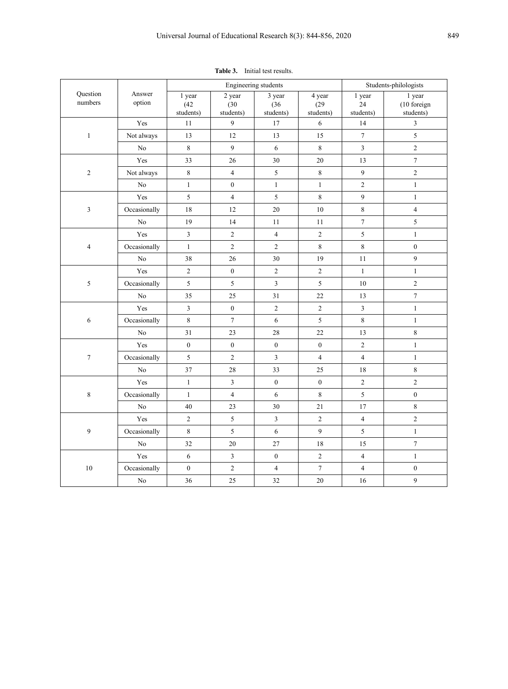|                         |                  |                             |                             | Engineering students        |                             |                           | Students-philologists              |
|-------------------------|------------------|-----------------------------|-----------------------------|-----------------------------|-----------------------------|---------------------------|------------------------------------|
| Question<br>numbers     | Answer<br>option | 1 year<br>(42)<br>students) | 2 year<br>(30)<br>students) | 3 year<br>(36)<br>students) | 4 year<br>(29)<br>students) | 1 year<br>24<br>students) | 1 year<br>(10 foreign<br>students) |
|                         | Yes              | $11\,$                      | 9                           | 17                          | 6                           | 14                        | $\overline{3}$                     |
| $\,1$                   | Not always       | 13                          | $12\,$                      | 13                          | 15                          | $\overline{7}$            | 5                                  |
|                         | $\rm No$         | $\,8\,$                     | 9                           | 6                           | $\,8\,$                     | $\overline{3}$            | $\overline{2}$                     |
|                         | Yes              | 33                          | 26                          | 30                          | $20\,$                      | 13                        | $\overline{7}$                     |
| $\overline{c}$          | Not always       | $\,8\,$                     | $\overline{4}$              | 5                           | $\,8\,$                     | $\overline{9}$            | $\overline{c}$                     |
|                         | N <sub>o</sub>   | $\mathbf{1}$                | $\overline{0}$              | $\mathbf{1}$                | $\,1$                       | $\sqrt{2}$                | $\mathbf{1}$                       |
|                         | Yes              | 5                           | $\overline{4}$              | 5                           | $\,8\,$                     | 9                         | $\mathbf{1}$                       |
| $\overline{\mathbf{3}}$ | Occasionally     | 18                          | $12\,$                      | 20                          | $10\,$                      | $\,8\,$                   | $\overline{4}$                     |
|                         | ${\rm No}$       | $19\,$                      | 14                          | 11                          | $11\,$                      | $\boldsymbol{7}$          | 5                                  |
|                         | Yes              | $\overline{3}$              | $\sqrt{2}$                  | $\overline{4}$              | $\sqrt{2}$                  | 5                         | $\mathbf{1}$                       |
| $\overline{4}$          | Occasionally     | $\,1$                       | $\overline{2}$              | $\overline{c}$              | $\,8\,$                     | $\,8\,$                   | $\overline{0}$                     |
|                         | $\rm No$         | $38\,$                      | 26                          | 30                          | 19                          | $11\,$                    | 9                                  |
|                         | Yes              | $\sqrt{2}$                  | $\boldsymbol{0}$            | $\overline{2}$              | $\sqrt{2}$                  | $\mathbf{1}$              | $\mathbf{1}$                       |
| 5                       | Occasionally     | 5                           | 5                           | $\overline{\mathbf{3}}$     | 5                           | $10\,$                    | $\overline{c}$                     |
|                         | N <sub>o</sub>   | $35\,$                      | $25\,$                      | 31                          | $22\,$                      | 13                        | $\tau$                             |
|                         | Yes              | $\overline{3}$              | $\overline{0}$              | $\overline{2}$              | $\overline{2}$              | $\overline{3}$            | $\mathbf{1}$                       |
| 6                       | Occasionally     | $\,8\,$                     | $7\phantom{.0}$             | 6                           | 5                           | $\,8\,$                   | $\mathbf{1}$                       |
|                         | $\rm No$         | 31                          | $23\,$                      | $28\,$                      | $22\,$                      | 13                        | 8                                  |
|                         | Yes              | $\boldsymbol{0}$            | $\boldsymbol{0}$            | $\boldsymbol{0}$            | $\boldsymbol{0}$            | $\sqrt{2}$                | $\mathbf{1}$                       |
| $\boldsymbol{7}$        | Occasionally     | 5                           | $\overline{2}$              | $\mathfrak{Z}$              | $\overline{4}$              | $\overline{4}$            | $\mathbf{1}$                       |
|                         | ${\rm No}$       | $37\,$                      | $28\,$                      | 33                          | $25\,$                      | $18\,$                    | 8                                  |
|                         | Yes              | $\,1$                       | $\overline{\mathbf{3}}$     | $\overline{0}$              | $\boldsymbol{0}$            | $\sqrt{2}$                | $\overline{2}$                     |
| $\,8\,$                 | Occasionally     | $\mathbf{1}$                | $\overline{4}$              | 6                           | $\,8\,$                     | $\mathfrak s$             | $\boldsymbol{0}$                   |
|                         | $\rm No$         | $40\,$                      | 23                          | 30                          | $21\,$                      | $17\,$                    | 8                                  |
|                         | Yes              | $\sqrt{2}$                  | 5                           | $\overline{\mathbf{3}}$     | $\sqrt{2}$                  | $\overline{4}$            | $\overline{c}$                     |
| 9                       | Occasionally     | $\,8\,$                     | 5                           | 6                           | 9                           | 5                         | $\mathbf{1}$                       |
|                         | $\rm No$         | 32                          | $20\,$                      | $27\,$                      | 18                          | 15                        | $\tau$                             |
|                         | Yes              | 6                           | $\overline{\mathbf{3}}$     | $\boldsymbol{0}$            | $\sqrt{2}$                  | $\overline{4}$            | $\mathbf{1}$                       |
| $10\,$                  | Occasionally     | $\boldsymbol{0}$            | $\overline{c}$              | $\overline{4}$              | $\tau$                      | $\overline{4}$            | $\boldsymbol{0}$                   |

No | 36 | 25 | 32 | 20 | 16 | 9

**Table 3.** Initial test results.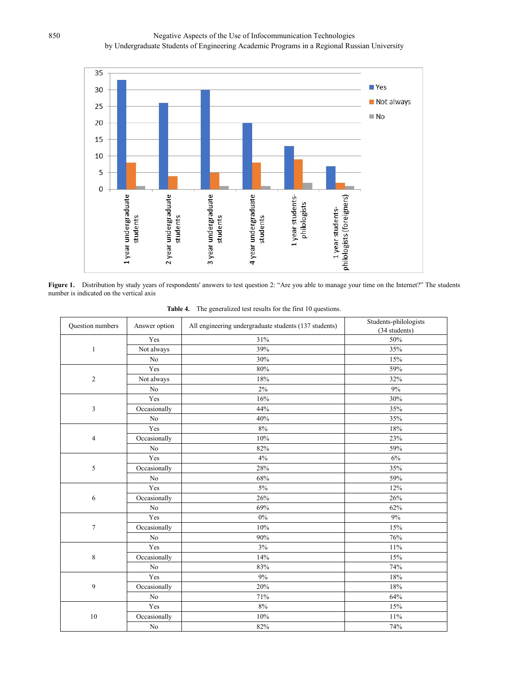

**Figure 1.** Distribution by study years of respondents' answers to test question 2: "Are you able to manage your time on the Internet?" The students number is indicated on the vertical axis

| Question numbers | Answer option  | All engineering undergraduate students (137 students) | Students-philologists<br>(34 students) |  |
|------------------|----------------|-------------------------------------------------------|----------------------------------------|--|
|                  | Yes            | $31\%$                                                | 50%                                    |  |
| 1                | Not always     | 39%                                                   | 35%                                    |  |
|                  | No             | 30%                                                   | 15%                                    |  |
|                  | Yes            | 80%                                                   | 59%                                    |  |
| $\sqrt{2}$       | Not always     | 18%                                                   | 32%                                    |  |
|                  | $\rm No$       | $2\%$                                                 | $9\%$                                  |  |
|                  | Yes            | $16\%$                                                | 30%                                    |  |
| $\mathfrak{Z}$   | Occasionally   | 44%                                                   | 35%                                    |  |
|                  | $\rm No$       | 40%                                                   | 35%                                    |  |
|                  | Yes            | $8\%$                                                 | 18%                                    |  |
| $\overline{4}$   | Occasionally   | $10\%$                                                | 23%                                    |  |
|                  | N <sub>o</sub> | 82%                                                   | 59%                                    |  |
|                  | Yes            | $4\%$                                                 | $6\%$                                  |  |
| 5                | Occasionally   | 28%                                                   | 35%                                    |  |
|                  | $\rm No$       | $68\%$                                                | 59%                                    |  |
|                  | Yes            | $5\%$                                                 | 12%                                    |  |
| 6                | Occasionally   | 26%                                                   | 26%                                    |  |
|                  | N <sub>o</sub> | 69%                                                   | 62%                                    |  |
|                  | Yes            | $0\%$                                                 | $9\%$                                  |  |
| $\tau$           | Occasionally   | $10\%$                                                | 15%                                    |  |
|                  | $\rm No$       | 90%                                                   | 76%                                    |  |
|                  | Yes            | 3%                                                    | 11%                                    |  |
| $\,$ 8 $\,$      | Occasionally   | 14%                                                   | 15%                                    |  |
|                  | $\rm No$       | 83%                                                   | 74%                                    |  |
|                  | Yes            | $9\%$                                                 | 18%                                    |  |
| 9                | Occasionally   | 20%                                                   | 18%                                    |  |
|                  | N <sub>o</sub> | 71%                                                   | 64%                                    |  |
|                  | Yes            | $8\%$                                                 | 15%                                    |  |
| $10\,$           | Occasionally   | 10%                                                   | 11%                                    |  |
|                  | $\rm No$       | 82%                                                   | 74%                                    |  |

**Table 4.** The generalized test results for the first 10 questions.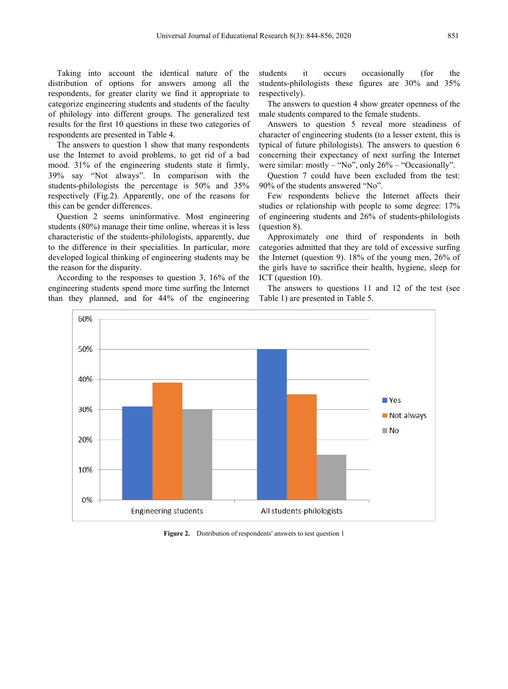Taking into account the identical nature of the students it distribution of options for answers among all the respondents, for greater clarity we find it appropriate to categorize engineering students and students of the faculty of philology into different groups. The generalized test results for the first 10 questions in these two categories of respondents are presented in Table 4.

The answers to question  $1$  show that many respondents use the Internet to avoid problems, to get rid of a bad mood. 31% of the engineering students state it firmly, 39% say "Not always". In comparison with the students-philologists the percentage is 50% and 35% respectively (Fig.2). Apparently, one of the reasons for this can be gender differences.

Question 2 seems uninformative. Most engineering students (80%) manage their time online, whereas it is less characteristic of the students-philologists, apparently, due to the difference in their specialities. In particular, more developed logical thinking of engineering students may be the reason for the disparity.

According to the responses to question 3, 16% of the engineering students spend more time surfing the Internet than they planned, and for 44% of the engineering

occurs occasionally (for the students-philologists these figures are 30% and 35% respectively).

The answers to question 4 show greater openness of the male students compared to the female students.

Answers to question 5 reveal more steadiness of character of engineering students (to a lesser extent, this is typical of future philologists). The answers to question 6 concerning their expectancy of next surfing the Internet were similar: mostly – "No", only  $26\%$  – "Occasionally".

Question 7 could have been excluded from the test: 90% of the students answered "No".

Few respondents believe the Internet affects their studies or relationship with people to some degree: 17% of engineering students and 26% of students-philologists (question 8).

Approximately one third of respondents in both categories admitted that they are told of excessive surfing the Internet (question 9). 18% of the young men, 26% of the girls have to sacrifice their health, hygiene, sleep for ICT (question 10).

The answers to questions 11 and 12 of the test (see Table 1) are presented in Table 5.



**Figure 2.** Distribution of respondents' answers to test question 1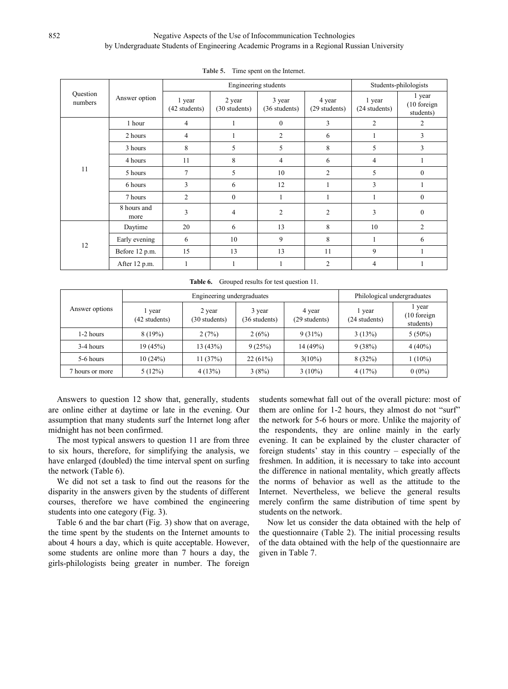### Negative Aspects of the Use of Infocommunication Technologies by Undergraduate Students of Engineering Academic Programs in a Regional Russian University

|                     |                     |                         | Engineering students    |                         |                         |                         | Students-philologists              |
|---------------------|---------------------|-------------------------|-------------------------|-------------------------|-------------------------|-------------------------|------------------------------------|
| Question<br>numbers | Answer option       | 1 year<br>(42 students) | 2 year<br>(30 students) | 3 year<br>(36 students) | 4 year<br>(29 students) | 1 year<br>(24 students) | 1 year<br>(10 foreign<br>students) |
|                     | 1 hour              | 4                       |                         | $\overline{0}$          | 3                       | $\overline{c}$          | 2                                  |
|                     | 2 hours             | 4                       |                         | 2                       | 6                       |                         | 3                                  |
|                     | 3 hours             | 8                       | 5                       | 5                       | 8                       | 5                       | 3                                  |
|                     | 4 hours             | 11                      | 8                       | $\overline{4}$          | 6                       | 4                       |                                    |
| 11                  | 5 hours             | $\overline{7}$          | 5                       | 10                      | $\overline{2}$          | 5                       | $\overline{0}$                     |
|                     | 6 hours             | 3                       | 6                       | 12                      | 1                       | 3                       |                                    |
|                     | 7 hours             | 2                       | $\mathbf{0}$            |                         |                         |                         | $\overline{0}$                     |
|                     | 8 hours and<br>more | 3                       | 4                       | $\overline{2}$          | $\overline{c}$          | 3                       | $\mathbf{0}$                       |
|                     | Daytime             | 20                      | 6                       | 13                      | 8                       | 10                      | $\overline{2}$                     |
| 12                  | Early evening       | 6                       | 10                      | 9                       | 8                       |                         | 6                                  |
|                     | Before 12 p.m.      | 15                      | 13                      | 13                      | 11                      | 9                       | -1                                 |
|                     | After 12 p.m.       | 1                       |                         |                         | 2                       | 4                       |                                    |

**Table 5.** Time spent on the Internet.

**Table 6.** Grouped results for test question 11.

|                 |                       | Engineering undergraduates |                         |                         |                         | Philological undergraduates           |
|-----------------|-----------------------|----------------------------|-------------------------|-------------------------|-------------------------|---------------------------------------|
| Answer options  | year<br>(42 students) | 2 year<br>(30 students)    | 3 year<br>(36 students) | 4 year<br>(29 students) | l year<br>(24 students) | l year<br>$(10)$ foreign<br>students) |
| 1-2 hours       | 8(19%)                | 2(7%)                      | 2(6%)                   | $9(31\%)$               | 3(13%)                  | $5(50\%)$                             |
| 3-4 hours       | 19(45%)               | 13(43%)                    | 9(25%)                  | 14(49%)                 | 9(38%)                  | $4(40\%)$                             |
| 5-6 hours       | 10(24%)               | 11(37%)                    | 22(61%)                 | $3(10\%)$               | 8(32%)                  | $1(10\%)$                             |
| 7 hours or more | 5(12%)                | 4(13%)                     | 3(8%)                   | $3(10\%)$               | 4(17%)                  | $0(0\%)$                              |

Answers to question 12 show that, generally, students are online either at daytime or late in the evening. Our assumption that many students surf the Internet long after midnight has not been confirmed.

The most typical answers to question 11 are from three to six hours, therefore, for simplifying the analysis, we have enlarged (doubled) the time interval spent on surfing the network (Table 6).

We did not set a task to find out the reasons for the disparity in the answers given by the students of different courses, therefore we have combined the engineering students into one category (Fig. 3).

Table 6 and the bar chart (Fig. 3) show that on average, the time spent by the students on the Internet amounts to about 4 hours a day, which is quite acceptable. However, some students are online more than 7 hours a day, the girls-philologists being greater in number. The foreign

students somewhat fall out of the overall picture: most of them are online for 1-2 hours, they almost do not "surf" the network for 5-6 hours or more. Unlike the majority of the respondents, they are online mainly in the early evening. It can be explained by the cluster character of foreign students' stay in this country – especially of the freshmen. In addition, it is necessary to take into account the difference in national mentality, which greatly affects the norms of behavior as well as the attitude to the Internet. Nevertheless, we believe the general results merely confirm the same distribution of time spent by students on the network.

Now let us consider the data obtained with the help of the questionnaire (Table 2). The initial processing results of the data obtained with the help of the questionnaire are given in Table 7.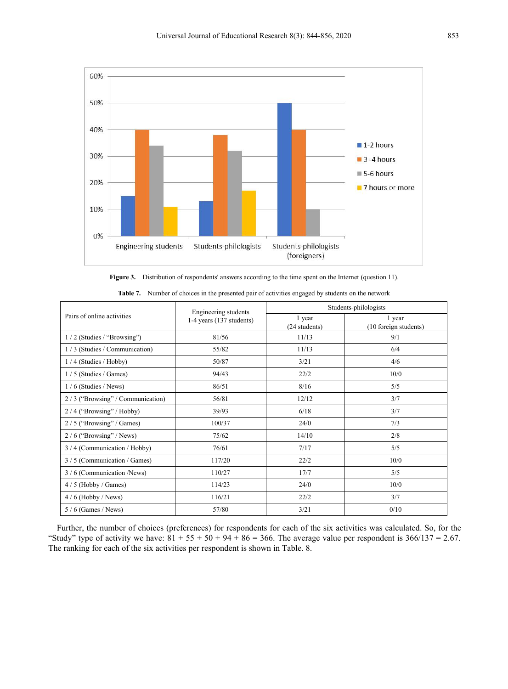

**Figure 3.** Distribution of respondents' answers according to the time spent on the Internet (question 11).

|                                  | Engineering students         |                         | Students-philologists           |
|----------------------------------|------------------------------|-------------------------|---------------------------------|
| Pairs of online activities       | $1-4$ years $(137$ students) | 1 year<br>(24 students) | 1 year<br>(10 foreign students) |
| 1/2 (Studies / "Browsing")       | 81/56                        | 11/13                   | 9/1                             |
| 1/3 (Studies / Communication)    | 55/82                        | 11/13                   | 6/4                             |
| $1/4$ (Studies / Hobby)          | 50/87                        | 3/21                    | 4/6                             |
| $1/5$ (Studies / Games)          | 94/43                        | 22/2                    | 10/0                            |
| $1/6$ (Studies / News)           | 86/51                        | 8/16                    | 5/5                             |
| 2/3 ("Browsing" / Communication) | 56/81                        | 12/12                   | 3/7                             |
| $2/4$ ("Browsing" / Hobby)       | 39/93                        | 6/18                    | 3/7                             |
| $2/5$ ("Browsing" / Games)       | 100/37                       | 24/0                    | 7/3                             |
| $2/6$ ("Browsing" / News)        | 75/62                        | 14/10                   | 2/8                             |
| 3/4 (Communication/Hobby)        | 76/61                        | 7/17                    | 5/5                             |
| 3/5 (Communication / Games)      | 117/20                       | 22/2                    | 10/0                            |
| 3/6 (Communication /News)        | 110/27                       | 17/7                    | 5/5                             |
| $4/5$ (Hobby / Games)            | 114/23                       | 24/0                    | 10/0                            |
| $4/6$ (Hobby / News)             | 116/21                       | 22/2                    | 3/7                             |
| $5/6$ (Games / News)             | 57/80                        | 3/21                    | 0/10                            |

**Table 7.** Number of choices in the presented pair of activities engaged by students on the network

Further, the number of choices (preferences) for respondents for each of the six activities was calculated. So, for the "Study" type of activity we have:  $81 + 55 + 50 + 94 + 86 = 366$ . The average value per respondent is  $366/137 = 2.67$ . The ranking for each of the six activities per respondent is shown in Table. 8.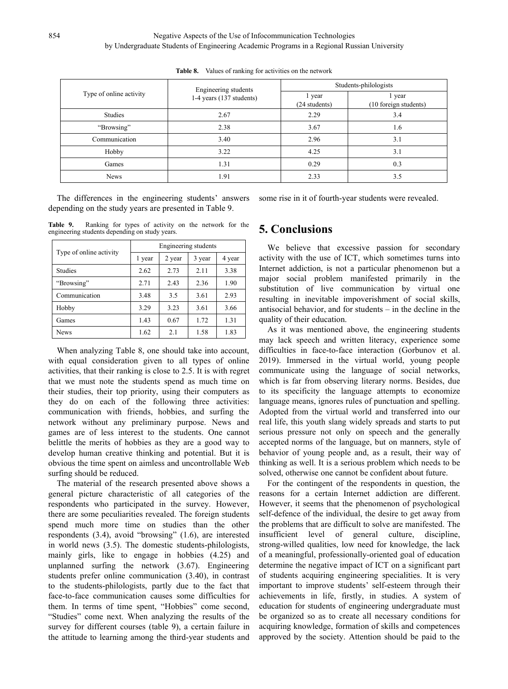|                         | Engineering students     |                         | Students-philologists           |
|-------------------------|--------------------------|-------------------------|---------------------------------|
| Type of online activity | 1-4 years (137 students) | l year<br>(24 students) | l year<br>(10 foreign students) |
| Studies                 | 2.67                     | 2.29                    | 3.4                             |
| "Browsing"              | 2.38                     | 3.67                    | 1.6                             |
| Communication           | 3.40                     | 2.96                    | 3.1                             |
| Hobby                   | 3.22                     | 4.25                    | 3.1                             |
| Games                   | 1.31                     | 0.29                    | 0.3                             |
| <b>News</b>             | 1.91                     | 2.33                    | 3.5                             |

**Table 8.** Values of ranking for activities on the network

The differences in the engineering students' answers depending on the study years are presented in Table 9.

**Table 9.** Ranking for types of activity on the network for the engineering students depending on study years.

|                         |        |        | Engineering students |        |
|-------------------------|--------|--------|----------------------|--------|
| Type of online activity | l year | 2 year | 3 year               | 4 year |
| Studies                 | 2.62   | 2.73   | 2.11                 | 3.38   |
| "Browsing"              | 2.71   | 2.43   | 2.36                 | 1.90   |
| Communication           | 3.48   | 3.5    | 3.61                 | 2.93   |
| Hobby                   | 3.29   | 3.23   | 3.61                 | 3.66   |
| Games                   | 1.43   | 0.67   | 1.72                 | 1.31   |
| <b>News</b>             | 1.62   | 2.1    | 1.58                 | 1.83   |

When analyzing Table 8, one should take into account, with equal consideration given to all types of online activities, that their ranking is close to 2.5. It is with regret that we must note the students spend as much time on their studies, their top priority, using their computers as they do on each of the following three activities: communication with friends, hobbies, and surfing the network without any preliminary purpose. News and games are of less interest to the students. One cannot belittle the merits of hobbies as they are a good way to develop human creative thinking and potential. But it is obvious the time spent on aimless and uncontrollable Web surfing should be reduced.<br>The material of the research presented above shows a

general picture characteristic of all categories of the respondents who participated in the survey. However, there are some peculiarities revealed. The foreign students spend much more time on studies than the other respondents  $(3.4)$ , avoid "browsing"  $(1.6)$ , are interested in world news  $(3.5)$ . The domestic students-philologists, mainly girls, like to engage in hobbies (4.25) and unplanned surfing the network (3.67). Engineering students prefer online communication (3.40), in contrast to the students-philologists, partly due to the fact that face-to-face communication causes some difficulties for them. In terms of time spent, "Hobbies" come second, "Studies" come next. When analyzing the results of the survey for different courses (table 9), a certain failure in the attitude to learning among the third-year students and

## **5. Conclusions**

1 year  $\vert$  2 year  $\vert$  3 year  $\vert$  4 year  $\vert$  activity with the use of ICT, which sometimes turns into  $\frac{\text{Communication}}{\text{3.48}}$   $\frac{3.5}{\text{3.5}}$   $\frac{3.61}{\text{2.93}}$  resulting in inevitable impoverishment of social skills, Hobby  $3.29 \mid 3.23 \mid 3.61 \mid 3.66$  antisocial behavior, and for students – in the decline in the We believe that excessive passion for secondary Internet addiction, is not a particular phenomenon but a major social problem manifested primarily in the substitution of live communication by virtual one

some rise in it of fourth-year students were revealed.

As it was mentioned above, the engineering students may lack speech and written literacy, experience some difficulties in face-to-face interaction (Gorbunov et al. 2019). Immersed in the virtual world, young people communicate using the language of social networks, which is far from observing literary norms. Besides, due to its specificity the language attempts to economize language means, ignores rules of punctuation and spelling. Adopted from the virtual world and transferred into our real life, this youth slang widely spreads and starts to put serious pressure not only on speech and the generally accepted norms of the language, but on manners, style of behavior of young people and, as a result, their way of thinking as well. It is a serious problem which needs to be solved, otherwise one cannot be confident about future.

For the contingent of the respondents in question, the reasons for a certain Internet addiction are different. However, it seems that the phenomenon of psychological self-defence of the individual, the desire to get away from the problems that are difficult to solve are manifested. The insufficient level of general culture, discipline, strong-willed qualities, low need for knowledge, the lack of a meaningful, professionally-oriented goal of education determine the negative impact of ICT on a significant part of students acquiring engineering specialities. It is very important to improve students' self-esteem through their achievements in life, firstly, in studies. A system of education for students of engineering undergraduate must be organized so as to create all necessary conditions for acquiring knowledge, formation of skills and competences approved by the society. Attention should be paid to the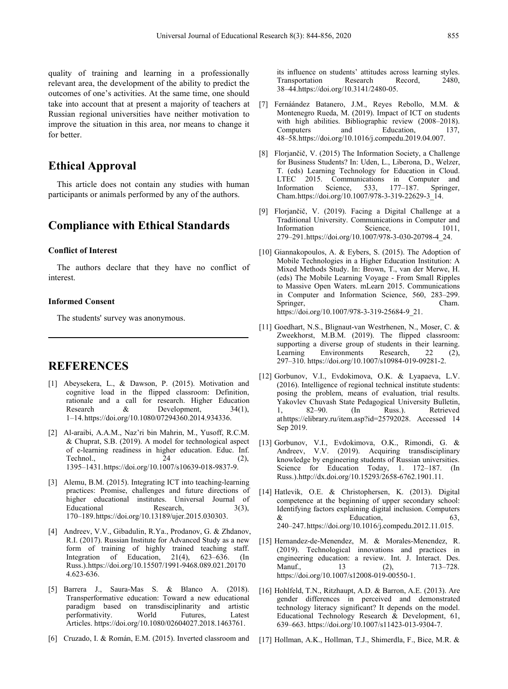quality of training and learning in a professionally relevant area, the development of the ability to predict the outcomes of one's activities. At the same time, one should take into account that at present a majority of teachers at Russian regional universities have neither motivation to improve the situation in this area, nor means to change it for better.

# **Ethical Approval**

This article does not contain any studies with human LTEC 2015. Communisties of the contain any studies with human Information Science, participants or animals performed by any of the authors.

# **Compliance with Ethical Standards**

#### **Conflict of Interest**

The authors declare that they have no conflict of interest.

#### **Informed Consent**

The students' survey was anonymous.

## **REFERENCES**

- [1] Abeysekera, L., & Dawson, P. (2015). Motivation and cognitive load in the flipped classroom: Definition, rationale and a call for research. Higher Education Research & Development,  $34(1)$ , 1 1–14.https://doi.org/10.1080/07294360.2014.934336.
- [2] Al-araibi, A.A.M., Naz'ri bin Mahrin, M., Yusoff, R.C.M. & Chuprat, S.B. (2019). A model for technological aspect of e-learning readiness in higher education. Educ. Inf. Technol.,  $24$  (2), 1395–1431.https://doi.org/10.1007/s10639-018-9837-9.
- [3] Alemu, B.M. (2015). Integrating ICT into teaching-learning practices: Promise, challenges and future directions of higher educational institutes. Universal Journal of Educational Research,  $3(3)$ , 170–189.https://doi.org/10.13189/ujer.2015.030303.
- [4] Andreev, V.V., Gibadulin, R.Ya., Prodanov, G. & Zhdanov, R.I. (2017). Russian Institute for Advanced Study as a new form of training of highly trained teaching staff.<br>Integration of Education, 21(4), 623–636. (In Integration of Education, 21(4), 623–636. (In Russ.).https://doi.org/10.15507/1991-9468.089.021.20170 4.623-636.
- [5] Barrera J., Saura-Mas S. & Blanco A. (2018).<br>Transperformative education: Toward a new educational paradigm based on transdisciplinarity and artistic performativity. World Futures, Latest Articles. https://doi.org/10.1080/02604027.2018.1463761.
- [6] Cruzado, I. & Román, E.M. (2015). Inverted classroom and

its influence on students' attitudes across learning styles. Transportation Research Record, 2480, 38–44.https://doi.org/10.3141/2480-05.

- [7] Fernáández Batanero, J.M., Reyes Rebollo, M.M. & Montenegro Rueda, M. (2019). Impact of ICT on students with high abilities. Bibliographic review (2008–2018). Computers and Education, 137, 48–58.https://doi.org/10.1016/j.compedu.2019.04.007.
- [8] Florjančič, V. (2015) The Information Society, a Challenge for Business Students? In: Uden, L., Liberona, D., Welzer, T. (eds) Learning Technology for Education in Cloud. 2015. Communications in Computer and Information Science, 533, 177–187. Springer, Cham.https://doi.org/10.1007/978-3-319-22629-3\_14.
- [9] Florjančič, V. (2019). Facing a Digital Challenge at a Traditional University. Communications in Computer and Information Science, 1011, 279–291.https://doi.org/10.1007/978-3-030-20798-4\_24.
- [10] Giannakopoulos, A. & Eybers, S. (2015). The Adoption of Mobile Technologies in a Higher Education Institution: A Mixed Methods Study. In: Brown, T., van der Merwe, H. (eds) The Mobile Learning Voyage - From Small Ripples to Massive Open Waters. mLearn 2015. Communications in Computer and Information Science, 560, 283–299. Springer, Cham. https://doi.org/10.1007/978-3-319-25684-9\_21.
- [11] Goedhart, N.S., Blignaut-van Westrhenen, N., Moser, C. & Zweekhorst, M.B.M. (2019). The flipped classroom: supporting a diverse group of students in their learning. Learning Environments Research, 22 (2), 297–310. https://doi.org/10.1007/s10984-019-09281-2.
- [12] Gorbunov, V.I., Evdokimova, O.K. & Lyapaeva, L.V. (2016). Intelligence of regional technical institute students: posing the problem, means of evaluation, trial results. Yakovlev Chuvash State Pedagogical University Bulletin, 82–90. (In Russ.). Retrieved athttps://elibrary.ru/item.asp?id=25792028. Accessed 14 Sep 2019.
- [13] Gorbunov, V.I., Evdokimova, O.K., Rimondi, G. & Andreev, V.V. (2019). Acquiring transdisciplinary knowledge by engineering students of Russian universities. Science for Education Today, 1. 172-187. (In Russ.).http://dx.doi.org/10.15293/2658-6762.1901.11.
- [14] Hatlevik, O.E. & Christophersen, K. (2013). Digital competence at the beginning of upper secondary school: Identifying factors explaining digital inclusion. Computers  $\&$  Education, 63, 240–247.https://doi.org/10.1016/j.compedu.2012.11.015.
- [15] Hernandez-de-Menendez, M. & Morales-Menendez, R. (2019). Technological innovations and practices in engineering education: a review. Int. J. Interact. Des.  $13 \t(2), \t713-728.$ https://doi.org/10.1007/s12008-019-00550-1.
- on transdisciplinarity and artistic technology literacy significant? It depends on the model. [16] Hohlfeld, T.N., Ritzhaupt, A.D. & Barron, A.E. (2013). Are gender differences in perceived and demonstrated Educational Technology Research & Development, 61, 639–663. https://doi.org/10.1007/s11423-013-9304-7.
	- [17] Hollman, A.K., Hollman, T.J., Shimerdla, F., Bice, M.R. &